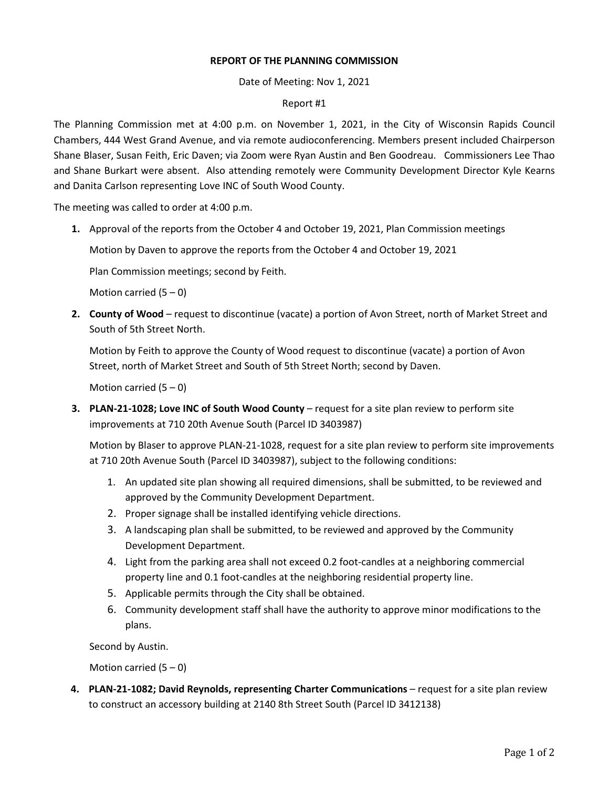## **REPORT OF THE PLANNING COMMISSION**

Date of Meeting: Nov 1, 2021

## Report #1

The Planning Commission met at 4:00 p.m. on November 1, 2021, in the City of Wisconsin Rapids Council Chambers, 444 West Grand Avenue, and via remote audioconferencing. Members present included Chairperson Shane Blaser, Susan Feith, Eric Daven; via Zoom were Ryan Austin and Ben Goodreau. Commissioners Lee Thao and Shane Burkart were absent. Also attending remotely were Community Development Director Kyle Kearns and Danita Carlson representing Love INC of South Wood County.

The meeting was called to order at 4:00 p.m.

**1.** Approval of the reports from the October 4 and October 19, 2021, Plan Commission meetings

Motion by Daven to approve the reports from the October 4 and October 19, 2021

Plan Commission meetings; second by Feith.

Motion carried  $(5 - 0)$ 

**2. County of Wood** – request to discontinue (vacate) a portion of Avon Street, north of Market Street and South of 5th Street North.

Motion by Feith to approve the County of Wood request to discontinue (vacate) a portion of Avon Street, north of Market Street and South of 5th Street North; second by Daven.

Motion carried  $(5 - 0)$ 

**3. PLAN-21-1028; Love INC of South Wood County** – request for a site plan review to perform site improvements at 710 20th Avenue South (Parcel ID 3403987)

Motion by Blaser to approve PLAN-21-1028, request for a site plan review to perform site improvements at 710 20th Avenue South (Parcel ID 3403987), subject to the following conditions:

- 1. An updated site plan showing all required dimensions, shall be submitted, to be reviewed and approved by the Community Development Department.
- 2. Proper signage shall be installed identifying vehicle directions.
- 3. A landscaping plan shall be submitted, to be reviewed and approved by the Community Development Department.
- 4. Light from the parking area shall not exceed 0.2 foot-candles at a neighboring commercial property line and 0.1 foot-candles at the neighboring residential property line.
- 5. Applicable permits through the City shall be obtained.
- 6. Community development staff shall have the authority to approve minor modifications to the plans.

Second by Austin.

Motion carried  $(5 - 0)$ 

**4. PLAN-21-1082; David Reynolds, representing Charter Communications** – request for a site plan review to construct an accessory building at 2140 8th Street South (Parcel ID 3412138)